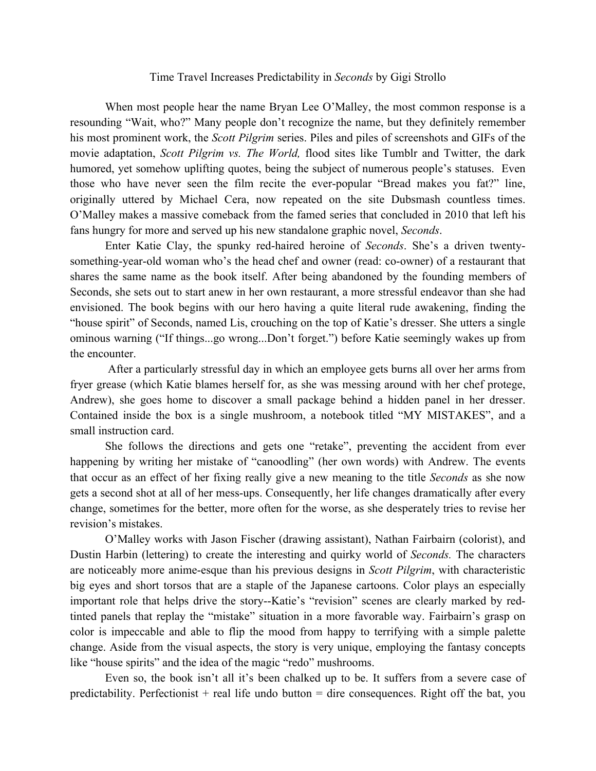## Time Travel Increases Predictability in *Seconds* by Gigi Strollo

When most people hear the name Bryan Lee O'Malley, the most common response is a resounding "Wait, who?" Many people don't recognize the name, but they definitely remember his most prominent work, the *Scott Pilgrim* series. Piles and piles of screenshots and GIFs of the movie adaptation, *Scott Pilgrim vs. The World,* flood sites like Tumblr and Twitter, the dark humored, yet somehow uplifting quotes, being the subject of numerous people's statuses. Even those who have never seen the film recite the ever-popular "Bread makes you fat?" line, originally uttered by Michael Cera, now repeated on the site Dubsmash countless times. O'Malley makes a massive comeback from the famed series that concluded in 2010 that left his fans hungry for more and served up his new standalone graphic novel, *Seconds*.

Enter Katie Clay, the spunky red-haired heroine of *Seconds*. She's a driven twentysomething-year-old woman who's the head chef and owner (read: co-owner) of a restaurant that shares the same name as the book itself. After being abandoned by the founding members of Seconds, she sets out to start anew in her own restaurant, a more stressful endeavor than she had envisioned. The book begins with our hero having a quite literal rude awakening, finding the "house spirit" of Seconds, named Lis, crouching on the top of Katie's dresser. She utters a single ominous warning ("If things...go wrong...Don't forget.") before Katie seemingly wakes up from the encounter.

After a particularly stressful day in which an employee gets burns all over her arms from fryer grease (which Katie blames herself for, as she was messing around with her chef protege, Andrew), she goes home to discover a small package behind a hidden panel in her dresser. Contained inside the box is a single mushroom, a notebook titled "MY MISTAKES", and a small instruction card.

She follows the directions and gets one "retake", preventing the accident from ever happening by writing her mistake of "canoodling" (her own words) with Andrew. The events that occur as an effect of her fixing really give a new meaning to the title *Seconds* as she now gets a second shot at all of her mess-ups. Consequently, her life changes dramatically after every change, sometimes for the better, more often for the worse, as she desperately tries to revise her revision's mistakes.

O'Malley works with Jason Fischer (drawing assistant), Nathan Fairbairn (colorist), and Dustin Harbin (lettering) to create the interesting and quirky world of *Seconds.* The characters are noticeably more anime-esque than his previous designs in *Scott Pilgrim*, with characteristic big eyes and short torsos that are a staple of the Japanese cartoons. Color plays an especially important role that helps drive the story--Katie's "revision" scenes are clearly marked by redtinted panels that replay the "mistake" situation in a more favorable way. Fairbairn's grasp on color is impeccable and able to flip the mood from happy to terrifying with a simple palette change. Aside from the visual aspects, the story is very unique, employing the fantasy concepts like "house spirits" and the idea of the magic "redo" mushrooms.

Even so, the book isn't all it's been chalked up to be. It suffers from a severe case of predictability. Perfectionist  $+$  real life undo button  $=$  dire consequences. Right off the bat, you